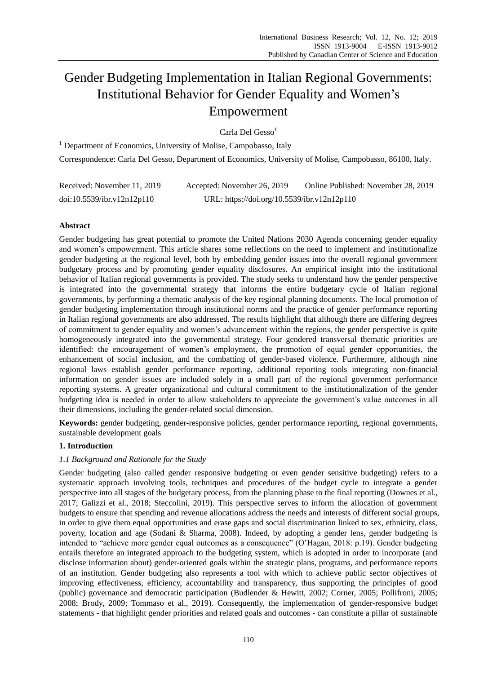# Gender Budgeting Implementation in Italian Regional Governments: Institutional Behavior for Gender Equality and Women's Empowerment

Carla Del Gesso $<sup>1</sup>$ </sup>

<sup>1</sup> Department of Economics, University of Molise, Campobasso, Italy Correspondence: Carla Del Gesso, Department of Economics, University of Molise, Campobasso, 86100, Italy.

| Received: November 11, 2019 | Accepted: November 26, 2019                 | Online Published: November 28, 2019 |
|-----------------------------|---------------------------------------------|-------------------------------------|
| doi:10.5539/ibr.v12n12p110  | URL: https://doi.org/10.5539/ibr.v12n12p110 |                                     |

# **Abstract**

Gender budgeting has great potential to promote the United Nations 2030 Agenda concerning gender equality and women's empowerment. This article shares some reflections on the need to implement and institutionalize gender budgeting at the regional level, both by embedding gender issues into the overall regional government budgetary process and by promoting gender equality disclosures. An empirical insight into the institutional behavior of Italian regional governments is provided. The study seeks to understand how the gender perspective is integrated into the governmental strategy that informs the entire budgetary cycle of Italian regional governments, by performing a thematic analysis of the key regional planning documents. The local promotion of gender budgeting implementation through institutional norms and the practice of gender performance reporting in Italian regional governments are also addressed. The results highlight that although there are differing degrees of commitment to gender equality and women's advancement within the regions, the gender perspective is quite homogeneously integrated into the governmental strategy. Four gendered transversal thematic priorities are identified: the encouragement of women's employment, the promotion of equal gender opportunities, the enhancement of social inclusion, and the combatting of gender-based violence. Furthermore, although nine regional laws establish gender performance reporting, additional reporting tools integrating non-financial information on gender issues are included solely in a small part of the regional government performance reporting systems. A greater organizational and cultural commitment to the institutionalization of the gender budgeting idea is needed in order to allow stakeholders to appreciate the government's value outcomes in all their dimensions, including the gender-related social dimension.

**Keywords:** gender budgeting, gender-responsive policies, gender performance reporting, regional governments, sustainable development goals

### **1. Introduction**

# *1.1 Background and Rationale for the Study*

Gender budgeting (also called gender responsive budgeting or even gender sensitive budgeting) refers to a systematic approach involving tools, techniques and procedures of the budget cycle to integrate a gender perspective into all stages of the budgetary process, from the planning phase to the final reporting (Downes et al., 2017; Galizzi et al., 2018; Steccolini, 2019). This perspective serves to inform the allocation of government budgets to ensure that spending and revenue allocations address the needs and interests of different social groups, in order to give them equal opportunities and erase gaps and social discrimination linked to sex, ethnicity, class, poverty, location and age (Sodani & Sharma, 2008). Indeed, by adopting a gender lens, gender budgeting is intended to "achieve more gender equal outcomes as a consequence" (O'Hagan, 2018: p.19). Gender budgeting entails therefore an integrated approach to the budgeting system, which is adopted in order to incorporate (and disclose information about) gender-oriented goals within the strategic plans, programs, and performance reports of an institution. Gender budgeting also represents a tool with which to achieve public sector objectives of improving effectiveness, efficiency, accountability and transparency, thus supporting the principles of good (public) governance and democratic participation (Budlender & Hewitt, 2002; Corner, 2005; Pollifroni, 2005; 2008; Brody, 2009; Tommaso et al., 2019). Consequently, the implementation of gender-responsive budget statements - that highlight gender priorities and related goals and outcomes - can constitute a pillar of sustainable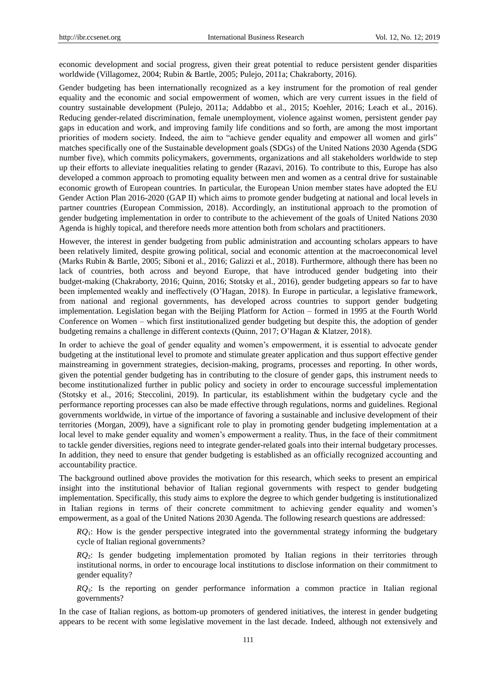economic development and social progress, given their great potential to reduce persistent gender disparities worldwide (Villagomez, 2004; Rubin & Bartle, 2005; Pulejo, 2011a; Chakraborty, 2016).

Gender budgeting has been internationally recognized as a key instrument for the promotion of real gender equality and the economic and social empowerment of women, which are very current issues in the field of country sustainable development (Pulejo, 2011a; Addabbo et al., 2015; Koehler, 2016; Leach et al., 2016). Reducing gender-related discrimination, female unemployment, violence against women, persistent gender pay gaps in education and work, and improving family life conditions and so forth, are among the most important priorities of modern society. Indeed, the aim to "achieve gender equality and empower all women and girls" matches specifically one of the Sustainable development goals (SDGs) of the United Nations 2030 Agenda (SDG number five), which commits policymakers, governments, organizations and all stakeholders worldwide to step up their efforts to alleviate inequalities relating to gender (Razavi, 2016). To contribute to this, Europe has also developed a common approach to promoting equality between men and women as a central drive for sustainable economic growth of European countries. In particular, the European Union member states have adopted the EU Gender Action Plan 2016-2020 (GAP II) which aims to promote gender budgeting at national and local levels in partner countries (European Commission, 2018). Accordingly, an institutional approach to the promotion of gender budgeting implementation in order to contribute to the achievement of the goals of United Nations 2030 Agenda is highly topical, and therefore needs more attention both from scholars and practitioners.

However, the interest in gender budgeting from public administration and accounting scholars appears to have been relatively limited, despite growing political, social and economic attention at the macroeconomical level (Marks Rubin & Bartle, 2005; Siboni et al., 2016; Galizzi et al., 2018). Furthermore, although there has been no lack of countries, both across and beyond Europe, that have introduced gender budgeting into their budget-making (Chakraborty, 2016; Quinn, 2016; Stotsky et al., 2016), gender budgeting appears so far to have been implemented weakly and ineffectively (O'Hagan, 2018). In Europe in particular, a legislative framework, from national and regional governments, has developed across countries to support gender budgeting implementation. Legislation began with the Beijing Platform for Action – formed in 1995 at the Fourth World Conference on Women – which first institutionalized gender budgeting but despite this, the adoption of gender budgeting remains a challenge in different contexts (Quinn, 2017; O'Hagan & Klatzer, 2018).

In order to achieve the goal of gender equality and women's empowerment, it is essential to advocate gender budgeting at the institutional level to promote and stimulate greater application and thus support effective gender mainstreaming in government strategies, decision-making, programs, processes and reporting. In other words, given the potential gender budgeting has in contributing to the closure of gender gaps, this instrument needs to become institutionalized further in public policy and society in order to encourage successful implementation (Stotsky et al., 2016; Steccolini, 2019). In particular, its establishment within the budgetary cycle and the performance reporting processes can also be made effective through regulations, norms and guidelines. Regional governments worldwide, in virtue of the importance of favoring a sustainable and inclusive development of their territories (Morgan, 2009), have a significant role to play in promoting gender budgeting implementation at a local level to make gender equality and women's empowerment a reality. Thus, in the face of their commitment to tackle gender diversities, regions need to integrate gender-related goals into their internal budgetary processes. In addition, they need to ensure that gender budgeting is established as an officially recognized accounting and accountability practice.

The background outlined above provides the motivation for this research, which seeks to present an empirical insight into the institutional behavior of Italian regional governments with respect to gender budgeting implementation. Specifically, this study aims to explore the degree to which gender budgeting is institutionalized in Italian regions in terms of their concrete commitment to achieving gender equality and women's empowerment, as a goal of the United Nations 2030 Agenda. The following research questions are addressed:

*RQ*1: How is the gender perspective integrated into the governmental strategy informing the budgetary cycle of Italian regional governments?

*RQ*2: Is gender budgeting implementation promoted by Italian regions in their territories through institutional norms, in order to encourage local institutions to disclose information on their commitment to gender equality?

*RQ*3: Is the reporting on gender performance information a common practice in Italian regional governments?

In the case of Italian regions, as bottom-up promoters of gendered initiatives, the interest in gender budgeting appears to be recent with some legislative movement in the last decade. Indeed, although not extensively and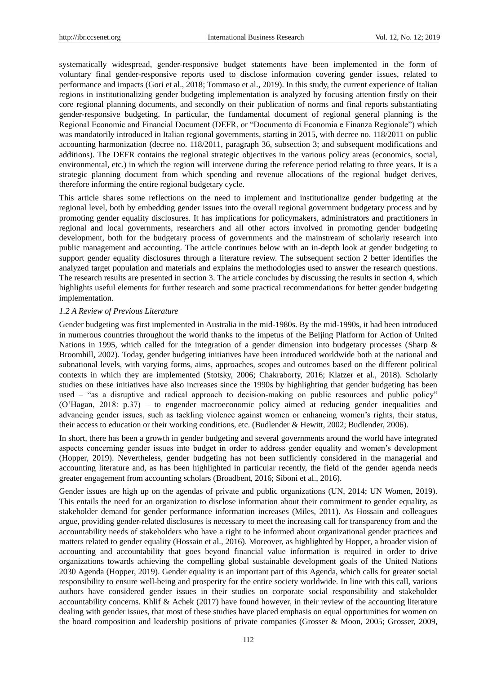systematically widespread, gender-responsive budget statements have been implemented in the form of voluntary final gender-responsive reports used to disclose information covering gender issues, related to performance and impacts (Gori et al., 2018; Tommaso et al., 2019). In this study, the current experience of Italian regions in institutionalizing gender budgeting implementation is analyzed by focusing attention firstly on their core regional planning documents, and secondly on their publication of norms and final reports substantiating gender-responsive budgeting. In particular, the fundamental document of regional general planning is the Regional Economic and Financial Document (DEFR, or "Documento di Economia e Finanza Regionale") which was mandatorily introduced in Italian regional governments, starting in 2015, with decree no. 118/2011 on public accounting harmonization (decree no. 118/2011, paragraph 36, subsection 3; and subsequent modifications and additions). The DEFR contains the regional strategic objectives in the various policy areas (economics, social, environmental, etc.) in which the region will intervene during the reference period relating to three years. It is a strategic planning document from which spending and revenue allocations of the regional budget derives, therefore informing the entire regional budgetary cycle.

This article shares some reflections on the need to implement and institutionalize gender budgeting at the regional level, both by embedding gender issues into the overall regional government budgetary process and by promoting gender equality disclosures. It has implications for policymakers, administrators and practitioners in regional and local governments, researchers and all other actors involved in promoting gender budgeting development, both for the budgetary process of governments and the mainstream of scholarly research into public management and accounting. The article continues below with an in-depth look at gender budgeting to support gender equality disclosures through a literature review. The subsequent section 2 better identifies the analyzed target population and materials and explains the methodologies used to answer the research questions. The research results are presented in section 3. The article concludes by discussing the results in section 4, which highlights useful elements for further research and some practical recommendations for better gender budgeting implementation.

#### *1.2 A Review of Previous Literature*

Gender budgeting was first implemented in Australia in the mid-1980s. By the mid-1990s, it had been introduced in numerous countries throughout the world thanks to the impetus of the Beijing Platform for Action of United Nations in 1995, which called for the integration of a gender dimension into budgetary processes (Sharp & Broomhill, 2002). Today, gender budgeting initiatives have been introduced worldwide both at the national and subnational levels, with varying forms, aims, approaches, scopes and outcomes based on the different political contexts in which they are implemented (Stotsky, 2006; Chakraborty, 2016; Klatzer et al., 2018). Scholarly studies on these initiatives have also increases since the 1990s by highlighting that gender budgeting has been used – "as a disruptive and radical approach to decision-making on public resources and public policy" (O'Hagan, 2018: p.37) – to engender macroeconomic policy aimed at reducing gender inequalities and advancing gender issues, such as tackling violence against women or enhancing women's rights, their status, their access to education or their working conditions, etc. (Budlender & Hewitt, 2002; Budlender, 2006).

In short, there has been a growth in gender budgeting and several governments around the world have integrated aspects concerning gender issues into budget in order to address gender equality and women's development (Hopper, 2019). Nevertheless, gender budgeting has not been sufficiently considered in the managerial and accounting literature and, as has been highlighted in particular recently, the field of the gender agenda needs greater engagement from accounting scholars (Broadbent, 2016; Siboni et al., 2016).

Gender issues are high up on the agendas of private and public organizations (UN, 2014; UN Women, 2019). This entails the need for an organization to disclose information about their commitment to gender equality, as stakeholder demand for gender performance information increases (Miles, 2011). As Hossain and colleagues argue, providing gender-related disclosures is necessary to meet the increasing call for transparency from and the accountability needs of stakeholders who have a right to be informed about organizational gender practices and matters related to gender equality (Hossain et al., 2016). Moreover, as highlighted by Hopper, a broader vision of accounting and accountability that goes beyond financial value information is required in order to drive organizations towards achieving the compelling global sustainable development goals of the United Nations 2030 Agenda (Hopper, 2019). Gender equality is an important part of this Agenda, which calls for greater social responsibility to ensure well-being and prosperity for the entire society worldwide. In line with this call, various authors have considered gender issues in their studies on corporate social responsibility and stakeholder accountability concerns. Khlif & Achek (2017) have found however, in their review of the accounting literature dealing with gender issues, that most of these studies have placed emphasis on equal opportunities for women on the board composition and leadership positions of private companies (Grosser & Moon, 2005; Grosser, 2009,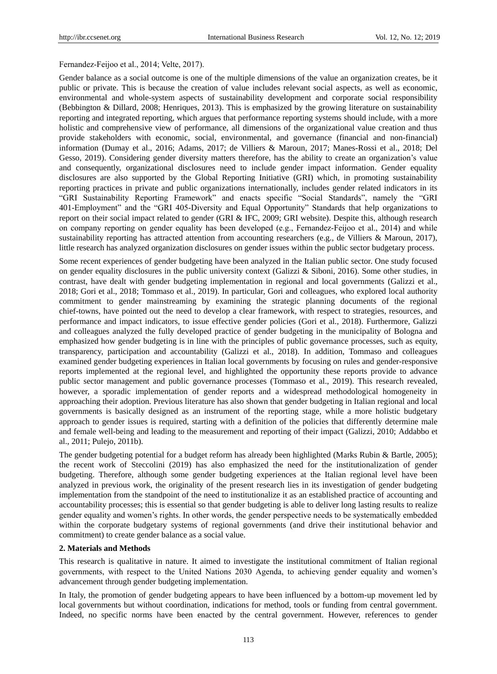#### Fernandez‐Feijoo et al., 2014; Velte, 2017).

Gender balance as a social outcome is one of the multiple dimensions of the value an organization creates, be it public or private. This is because the creation of value includes relevant social aspects, as well as economic, environmental and whole-system aspects of sustainability development and corporate social responsibility (Bebbington & Dillard, 2008; Henriques, 2013). This is emphasized by the growing literature on sustainability reporting and integrated reporting, which argues that performance reporting systems should include, with a more holistic and comprehensive view of performance, all dimensions of the organizational value creation and thus provide stakeholders with economic, social, environmental, and governance (financial and non-financial) information (Dumay et al., 2016; Adams, 2017; de Villiers & Maroun, 2017; Manes-Rossi et al., 2018; Del Gesso, 2019). Considering gender diversity matters therefore, has the ability to create an organization's value and consequently, organizational disclosures need to include gender impact information. Gender equality disclosures are also supported by the Global Reporting Initiative (GRI) which, in promoting sustainability reporting practices in private and public organizations internationally, includes gender related indicators in its "GRI Sustainability Reporting Framework" and enacts specific "Social Standards", namely the "GRI 401-Employment" and the "GRI 405-Diversity and Equal Opportunity" Standards that help organizations to report on their social impact related to gender (GRI & IFC, 2009; GRI website). Despite this, although research on company reporting on gender equality has been developed (e.g., Fernandez‐Feijoo et al., 2014) and while sustainability reporting has attracted attention from accounting researchers (e.g., de Villiers & Maroun, 2017), little research has analyzed organization disclosures on gender issues within the public sector budgetary process.

Some recent experiences of gender budgeting have been analyzed in the Italian public sector. One study focused on gender equality disclosures in the public university context (Galizzi & Siboni, 2016). Some other studies, in contrast, have dealt with gender budgeting implementation in regional and local governments (Galizzi et al., 2018; Gori et al., 2018; Tommaso et al., 2019). In particular, Gori and colleagues, who explored local authority commitment to gender mainstreaming by examining the strategic planning documents of the regional chief-towns, have pointed out the need to develop a clear framework, with respect to strategies, resources, and performance and impact indicators, to issue effective gender policies (Gori et al., 2018). Furthermore, Galizzi and colleagues analyzed the fully developed practice of gender budgeting in the municipality of Bologna and emphasized how gender budgeting is in line with the principles of public governance processes, such as equity, transparency, participation and accountability (Galizzi et al., 2018). In addition, Tommaso and colleagues examined gender budgeting experiences in Italian local governments by focusing on rules and gender-responsive reports implemented at the regional level, and highlighted the opportunity these reports provide to advance public sector management and public governance processes (Tommaso et al., 2019). This research revealed, however, a sporadic implementation of gender reports and a widespread methodological homogeneity in approaching their adoption. Previous literature has also shown that gender budgeting in Italian regional and local governments is basically designed as an instrument of the reporting stage, while a more holistic budgetary approach to gender issues is required, starting with a definition of the policies that differently determine male and female well-being and leading to the measurement and reporting of their impact (Galizzi, 2010; Addabbo et al., 2011; Pulejo, 2011b).

The gender budgeting potential for a budget reform has already been highlighted (Marks Rubin & Bartle, 2005); the recent work of Steccolini (2019) has also emphasized the need for the institutionalization of gender budgeting. Therefore, although some gender budgeting experiences at the Italian regional level have been analyzed in previous work, the originality of the present research lies in its investigation of gender budgeting implementation from the standpoint of the need to institutionalize it as an established practice of accounting and accountability processes; this is essential so that gender budgeting is able to deliver long lasting results to realize gender equality and women's rights. In other words, the gender perspective needs to be systematically embedded within the corporate budgetary systems of regional governments (and drive their institutional behavior and commitment) to create gender balance as a social value.

#### **2. Materials and Methods**

This research is qualitative in nature. It aimed to investigate the institutional commitment of Italian regional governments, with respect to the United Nations 2030 Agenda, to achieving gender equality and women's advancement through gender budgeting implementation.

In Italy, the promotion of gender budgeting appears to have been influenced by a bottom-up movement led by local governments but without coordination, indications for method, tools or funding from central government. Indeed, no specific norms have been enacted by the central government. However, references to gender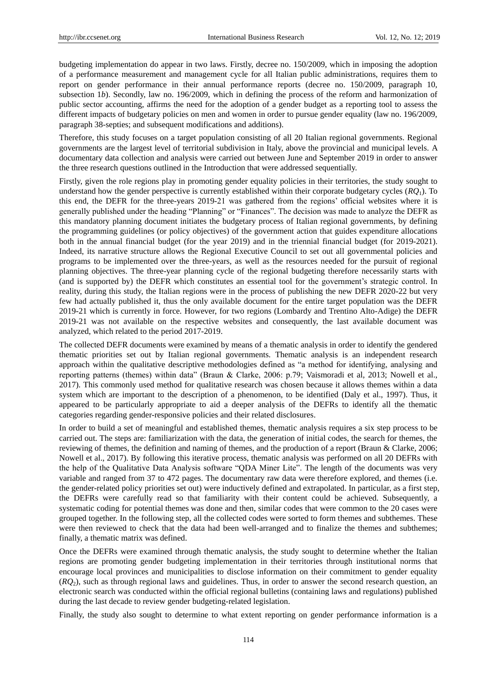budgeting implementation do appear in two laws. Firstly, decree no. 150/2009, which in imposing the adoption of a performance measurement and management cycle for all Italian public administrations, requires them to report on gender performance in their annual performance reports (decree no. 150/2009, paragraph 10, subsection 1*b*). Secondly, law no. 196/2009, which in defining the process of the reform and harmonization of public sector accounting, affirms the need for the adoption of a gender budget as a reporting tool to assess the different impacts of budgetary policies on men and women in order to pursue gender equality (law no. 196/2009, paragraph 38-septies; and subsequent modifications and additions).

Therefore, this study focuses on a target population consisting of all 20 Italian regional governments. Regional governments are the largest level of territorial subdivision in Italy, above the provincial and municipal levels. A documentary data collection and analysis were carried out between June and September 2019 in order to answer the three research questions outlined in the Introduction that were addressed sequentially.

Firstly, given the role regions play in promoting gender equality policies in their territories, the study sought to understand how the gender perspective is currently established within their corporate budgetary cycles (*RQ*1). To this end, the DEFR for the three-years 2019-21 was gathered from the regions' official websites where it is generally published under the heading "Planning" or "Finances". The decision was made to analyze the DEFR as this mandatory planning document initiates the budgetary process of Italian regional governments, by defining the programming guidelines (or policy objectives) of the government action that guides expenditure allocations both in the annual financial budget (for the year 2019) and in the triennial financial budget (for 2019-2021). Indeed, its narrative structure allows the Regional Executive Council to set out all governmental policies and programs to be implemented over the three-years, as well as the resources needed for the pursuit of regional planning objectives. The three-year planning cycle of the regional budgeting therefore necessarily starts with (and is supported by) the DEFR which constitutes an essential tool for the government's strategic control. In reality, during this study, the Italian regions were in the process of publishing the new DEFR 2020-22 but very few had actually published it, thus the only available document for the entire target population was the DEFR 2019-21 which is currently in force. However, for two regions (Lombardy and Trentino Alto-Adige) the DEFR 2019-21 was not available on the respective websites and consequently, the last available document was analyzed, which related to the period 2017-2019.

The collected DEFR documents were examined by means of a thematic analysis in order to identify the gendered thematic priorities set out by Italian regional governments. Thematic analysis is an independent research approach within the qualitative descriptive methodologies defined as "a method for identifying, analysing and reporting patterns (themes) within data" (Braun & Clarke, 2006: p.79; Vaismoradi et al., 2013; Nowell et al., 2017). This commonly used method for qualitative research was chosen because it allows themes within a data system which are important to the description of a phenomenon, to be identified (Daly et al., 1997). Thus, it appeared to be particularly appropriate to aid a deeper analysis of the DEFRs to identify all the thematic categories regarding gender-responsive policies and their related disclosures.

In order to build a set of meaningful and established themes, thematic analysis requires a six step process to be carried out. The steps are: familiarization with the data, the generation of initial codes, the search for themes, the reviewing of themes, the definition and naming of themes, and the production of a report (Braun & Clarke, 2006; Nowell et al., 2017). By following this iterative process, thematic analysis was performed on all 20 DEFRs with the help of the Qualitative Data Analysis software "QDA Miner Lite". The length of the documents was very variable and ranged from 37 to 472 pages. The documentary raw data were therefore explored, and themes (i.e. the gender-related policy priorities set out) were inductively defined and extrapolated. In particular, as a first step, the DEFRs were carefully read so that familiarity with their content could be achieved. Subsequently, a systematic coding for potential themes was done and then, similar codes that were common to the 20 cases were grouped together. In the following step, all the collected codes were sorted to form themes and subthemes. These were then reviewed to check that the data had been well-arranged and to finalize the themes and subthemes; finally, a thematic matrix was defined.

Once the DEFRs were examined through thematic analysis, the study sought to determine whether the Italian regions are promoting gender budgeting implementation in their territories through institutional norms that encourage local provinces and municipalities to disclose information on their commitment to gender equality (*RQ*2), such as through regional laws and guidelines. Thus, in order to answer the second research question, an electronic search was conducted within the official regional bulletins (containing laws and regulations) published during the last decade to review gender budgeting-related legislation.

Finally, the study also sought to determine to what extent reporting on gender performance information is a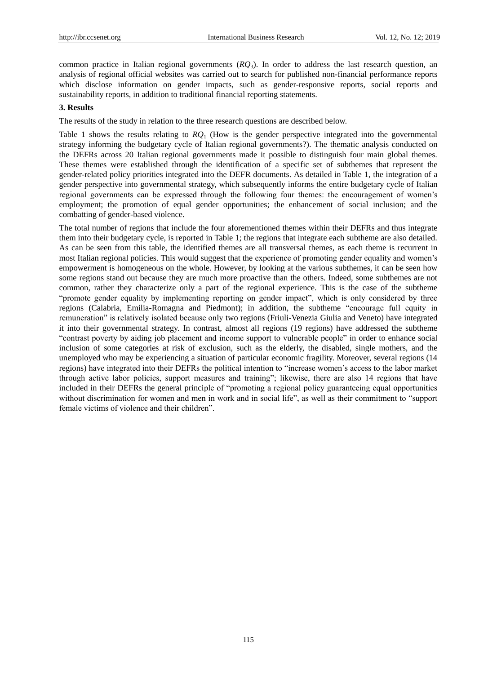common practice in Italian regional governments (*RQ*3). In order to address the last research question, an analysis of regional official websites was carried out to search for published non-financial performance reports which disclose information on gender impacts, such as gender-responsive reports, social reports and sustainability reports, in addition to traditional financial reporting statements.

#### **3. Results**

The results of the study in relation to the three research questions are described below.

Table 1 shows the results relating to *RQ*<sup>1</sup> (How is the gender perspective integrated into the governmental strategy informing the budgetary cycle of Italian regional governments?). The thematic analysis conducted on the DEFRs across 20 Italian regional governments made it possible to distinguish four main global themes. These themes were established through the identification of a specific set of subthemes that represent the gender-related policy priorities integrated into the DEFR documents. As detailed in Table 1, the integration of a gender perspective into governmental strategy, which subsequently informs the entire budgetary cycle of Italian regional governments can be expressed through the following four themes: the encouragement of women's employment; the promotion of equal gender opportunities; the enhancement of social inclusion; and the combatting of gender-based violence.

The total number of regions that include the four aforementioned themes within their DEFRs and thus integrate them into their budgetary cycle, is reported in Table 1; the regions that integrate each subtheme are also detailed. As can be seen from this table, the identified themes are all transversal themes, as each theme is recurrent in most Italian regional policies. This would suggest that the experience of promoting gender equality and women's empowerment is homogeneous on the whole. However, by looking at the various subthemes, it can be seen how some regions stand out because they are much more proactive than the others. Indeed, some subthemes are not common, rather they characterize only a part of the regional experience. This is the case of the subtheme "promote gender equality by implementing reporting on gender impact", which is only considered by three regions (Calabria, Emilia-Romagna and Piedmont); in addition, the subtheme "encourage full equity in remuneration" is relatively isolated because only two regions (Friuli-Venezia Giulia and Veneto) have integrated it into their governmental strategy. In contrast, almost all regions (19 regions) have addressed the subtheme ―contrast poverty by aiding job placement and income support to vulnerable people‖ in order to enhance social inclusion of some categories at risk of exclusion, such as the elderly, the disabled, single mothers, and the unemployed who may be experiencing a situation of particular economic fragility. Moreover, several regions (14 regions) have integrated into their DEFRs the political intention to "increase women's access to the labor market through active labor policies, support measures and training"; likewise, there are also 14 regions that have included in their DEFRs the general principle of "promoting a regional policy guaranteeing equal opportunities without discrimination for women and men in work and in social life", as well as their commitment to "support female victims of violence and their children".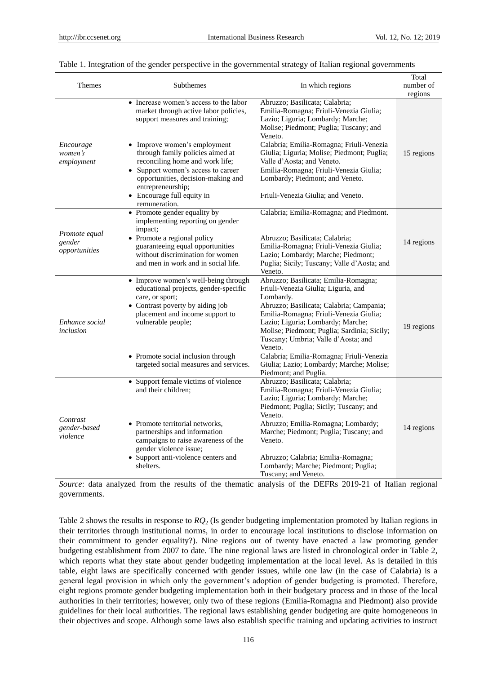|                                      |                                                                  |                                                                                        | Total      |
|--------------------------------------|------------------------------------------------------------------|----------------------------------------------------------------------------------------|------------|
| <b>Themes</b>                        | <b>Subthemes</b>                                                 | In which regions                                                                       | number of  |
|                                      |                                                                  |                                                                                        | regions    |
|                                      | • Increase women's access to the labor                           | Abruzzo; Basilicata; Calabria;                                                         |            |
|                                      | market through active labor policies,                            | Emilia-Romagna; Friuli-Venezia Giulia;                                                 |            |
|                                      | support measures and training;                                   | Lazio; Liguria; Lombardy; Marche;                                                      |            |
|                                      |                                                                  | Molise; Piedmont; Puglia; Tuscany; and                                                 |            |
|                                      |                                                                  | Veneto.                                                                                |            |
| Encourage<br>women's                 | • Improve women's employment<br>through family policies aimed at | Calabria; Emilia-Romagna; Friuli-Venezia<br>Giulia; Liguria; Molise; Piedmont; Puglia; |            |
| employment                           | reconciling home and work life;                                  | Valle d'Aosta; and Veneto.                                                             | 15 regions |
|                                      | • Support women's access to career                               | Emilia-Romagna; Friuli-Venezia Giulia;                                                 |            |
|                                      | opportunities, decision-making and                               | Lombardy; Piedmont; and Veneto.                                                        |            |
|                                      | entrepreneurship;                                                |                                                                                        |            |
|                                      | • Encourage full equity in                                       | Friuli-Venezia Giulia; and Veneto.                                                     |            |
|                                      | remuneration.                                                    |                                                                                        |            |
|                                      | • Promote gender equality by                                     | Calabria; Emilia-Romagna; and Piedmont.                                                |            |
|                                      | implementing reporting on gender                                 |                                                                                        |            |
| Promote equal                        | impact;                                                          |                                                                                        |            |
| gender                               | • Promote a regional policy                                      | Abruzzo; Basilicata; Calabria;                                                         | 14 regions |
| opportunities                        | guaranteeing equal opportunities                                 | Emilia-Romagna; Friuli-Venezia Giulia;                                                 |            |
|                                      | without discrimination for women                                 | Lazio; Lombardy; Marche; Piedmont;                                                     |            |
|                                      | and men in work and in social life.                              | Puglia; Sicily; Tuscany; Valle d'Aosta; and                                            |            |
|                                      |                                                                  | Veneto.                                                                                |            |
|                                      | • Improve women's well-being through                             | Abruzzo; Basilicata; Emilia-Romagna;                                                   |            |
|                                      | educational projects, gender-specific                            | Friuli-Venezia Giulia; Liguria, and                                                    |            |
|                                      | care, or sport;<br>• Contrast poverty by aiding job              | Lombardy.<br>Abruzzo; Basilicata; Calabria; Campania;                                  |            |
|                                      | placement and income support to                                  | Emilia-Romagna; Friuli-Venezia Giulia;                                                 |            |
| Enhance social                       | vulnerable people;                                               | Lazio; Liguria; Lombardy; Marche;                                                      |            |
| inclusion                            |                                                                  | Molise; Piedmont; Puglia; Sardinia; Sicily;                                            | 19 regions |
|                                      |                                                                  | Tuscany; Umbria; Valle d'Aosta; and                                                    |            |
|                                      |                                                                  | Veneto.                                                                                |            |
|                                      | • Promote social inclusion through                               | Calabria; Emilia-Romagna; Friuli-Venezia                                               |            |
|                                      | targeted social measures and services.                           | Giulia; Lazio; Lombardy; Marche; Molise;                                               |            |
|                                      |                                                                  | Piedmont; and Puglia.                                                                  |            |
|                                      | • Support female victims of violence                             | Abruzzo; Basilicata; Calabria;                                                         |            |
|                                      | and their children:                                              | Emilia-Romagna; Friuli-Venezia Giulia;                                                 |            |
| Contrast<br>gender-based<br>violence |                                                                  | Lazio; Liguria; Lombardy; Marche;                                                      |            |
|                                      |                                                                  | Piedmont; Puglia; Sicily; Tuscany; and                                                 |            |
|                                      | • Promote territorial networks,                                  | Veneto.<br>Abruzzo; Emilia-Romagna; Lombardy;                                          |            |
|                                      | partnerships and information                                     | Marche; Piedmont; Puglia; Tuscany; and                                                 | 14 regions |
|                                      | campaigns to raise awareness of the                              | Veneto.                                                                                |            |
|                                      | gender violence issue;                                           |                                                                                        |            |
|                                      | • Support anti-violence centers and                              | Abruzzo; Calabria; Emilia-Romagna;                                                     |            |
|                                      | shelters.                                                        | Lombardy; Marche; Piedmont; Puglia;                                                    |            |
|                                      |                                                                  | Tuscany; and Veneto.                                                                   |            |

#### Table 1. Integration of the gender perspective in the governmental strategy of Italian regional governments

*Source*: data analyzed from the results of the thematic analysis of the DEFRs 2019-21 of Italian regional governments.

Table 2 shows the results in response to *RQ*<sup>2</sup> (Is gender budgeting implementation promoted by Italian regions in their territories through institutional norms, in order to encourage local institutions to disclose information on their commitment to gender equality?). Nine regions out of twenty have enacted a law promoting gender budgeting establishment from 2007 to date. The nine regional laws are listed in chronological order in Table 2, which reports what they state about gender budgeting implementation at the local level. As is detailed in this table, eight laws are specifically concerned with gender issues, while one law (in the case of Calabria) is a general legal provision in which only the government's adoption of gender budgeting is promoted. Therefore, eight regions promote gender budgeting implementation both in their budgetary process and in those of the local authorities in their territories; however, only two of these regions (Emilia-Romagna and Piedmont) also provide guidelines for their local authorities. The regional laws establishing gender budgeting are quite homogeneous in their objectives and scope. Although some laws also establish specific training and updating activities to instruct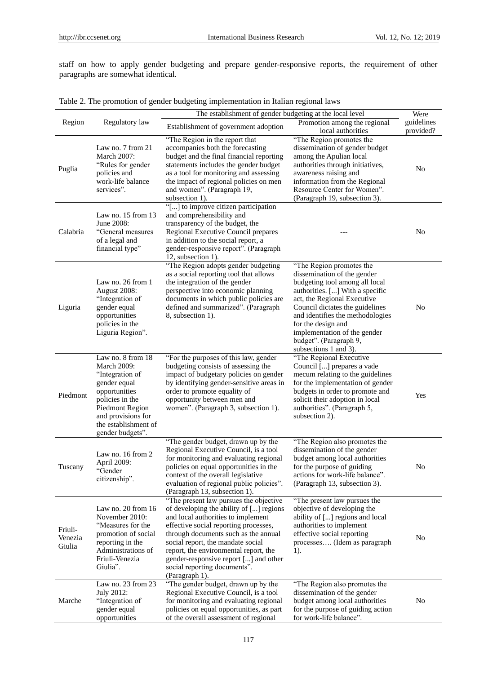staff on how to apply gender budgeting and prepare gender-responsive reports, the requirement of other paragraphs are somewhat identical.

|  |  |  | Table 2. The promotion of gender budgeting implementation in Italian regional laws |  |  |
|--|--|--|------------------------------------------------------------------------------------|--|--|
|  |  |  |                                                                                    |  |  |

|                              |                                                                                                                                                                                                     | The establishment of gender budgeting at the local level                                                                                                                                                                                                                                                                                                                          |                                                                                                                                                                                                                                                                                                                                             |                         |
|------------------------------|-----------------------------------------------------------------------------------------------------------------------------------------------------------------------------------------------------|-----------------------------------------------------------------------------------------------------------------------------------------------------------------------------------------------------------------------------------------------------------------------------------------------------------------------------------------------------------------------------------|---------------------------------------------------------------------------------------------------------------------------------------------------------------------------------------------------------------------------------------------------------------------------------------------------------------------------------------------|-------------------------|
| Region                       | Regulatory law                                                                                                                                                                                      | Establishment of government adoption                                                                                                                                                                                                                                                                                                                                              | Promotion among the regional<br>local authorities                                                                                                                                                                                                                                                                                           | guidelines<br>provided? |
| Puglia                       | Law no. 7 from 21<br>March 2007:<br>"Rules for gender<br>policies and<br>work-life balance<br>services".                                                                                            | "The Region in the report that<br>accompanies both the forecasting<br>budget and the final financial reporting<br>statements includes the gender budget<br>as a tool for monitoring and assessing<br>the impact of regional policies on men<br>and women". (Paragraph 19,<br>subsection 1).                                                                                       | "The Region promotes the<br>dissemination of gender budget<br>among the Apulian local<br>authorities through initiatives,<br>awareness raising and<br>information from the Regional<br>Resource Center for Women".<br>(Paragraph 19, subsection 3).                                                                                         | No                      |
| Calabria                     | Law no. $15$ from $13$<br>June 2008:<br>"General measures<br>of a legal and<br>financial type"                                                                                                      | "[] to improve citizen participation<br>and comprehensibility and<br>transparency of the budget, the<br>Regional Executive Council prepares<br>in addition to the social report, a<br>gender-responsive report". (Paragraph<br>12, subsection 1).                                                                                                                                 |                                                                                                                                                                                                                                                                                                                                             | N <sub>o</sub>          |
| Liguria                      | Law no. 26 from 1<br>August 2008:<br>"Integration of<br>gender equal<br>opportunities<br>policies in the<br>Liguria Region".                                                                        | "The Region adopts gender budgeting<br>as a social reporting tool that allows<br>the integration of the gender<br>perspective into economic planning<br>documents in which public policies are<br>defined and summarized". (Paragraph<br>8, subsection 1).                                                                                                                        | "The Region promotes the<br>dissemination of the gender<br>budgeting tool among all local<br>authorities. [] With a specific<br>act, the Regional Executive<br>Council dictates the guidelines<br>and identifies the methodologies<br>for the design and<br>implementation of the gender<br>budget". (Paragraph 9,<br>subsections 1 and 3). | No                      |
| Piedmont                     | Law no. 8 from 18<br><b>March 2009:</b><br>"Integration of<br>gender equal<br>opportunities<br>policies in the<br>Piedmont Region<br>and provisions for<br>the establishment of<br>gender budgets". | "For the purposes of this law, gender<br>budgeting consists of assessing the<br>impact of budgetary policies on gender<br>by identifying gender-sensitive areas in<br>order to promote equality of<br>opportunity between men and<br>women". (Paragraph 3, subsection 1).                                                                                                         | "The Regional Executive<br>Council [] prepares a vade<br>mecum relating to the guidelines<br>for the implementation of gender<br>budgets in order to promote and<br>solicit their adoption in local<br>authorities". (Paragraph 5,<br>subsection 2).                                                                                        | Yes                     |
| Tuscany                      | Law no. 16 from 2<br>April 2009:<br>"Gender<br>citizenship".                                                                                                                                        | "The gender budget, drawn up by the<br>Regional Executive Council, is a tool<br>for monitoring and evaluating regional<br>policies on equal opportunities in the<br>context of the overall legislative<br>evaluation of regional public policies".<br>(Paragraph 13, subsection 1).                                                                                               | "The Region also promotes the<br>dissemination of the gender<br>budget among local authorities<br>for the purpose of guiding<br>actions for work-life balance".<br>(Paragraph 13, subsection 3).                                                                                                                                            | No                      |
| Friuli-<br>Venezia<br>Giulia | Law no. 20 from 16<br>November 2010:<br>"Measures for the<br>promotion of social<br>reporting in the<br>Administrations of<br>Friuli-Venezia<br>Giulia".                                            | "The present law pursues the objective<br>of developing the ability of [] regions<br>and local authorities to implement<br>effective social reporting processes,<br>through documents such as the annual<br>social report, the mandate social<br>report, the environmental report, the<br>gender-responsive report [] and other<br>social reporting documents".<br>(Paragraph 1). | "The present law pursues the<br>objective of developing the<br>ability of [] regions and local<br>authorities to implement<br>effective social reporting<br>processes (Idem as paragraph<br>1).                                                                                                                                             | No                      |
| Marche                       | Law no. 23 from 23<br>July 2012:<br>"Integration of<br>gender equal<br>opportunities                                                                                                                | "The gender budget, drawn up by the<br>Regional Executive Council, is a tool<br>for monitoring and evaluating regional<br>policies on equal opportunities, as part<br>of the overall assessment of regional                                                                                                                                                                       | "The Region also promotes the<br>dissemination of the gender<br>budget among local authorities<br>for the purpose of guiding action<br>for work-life balance".                                                                                                                                                                              | No                      |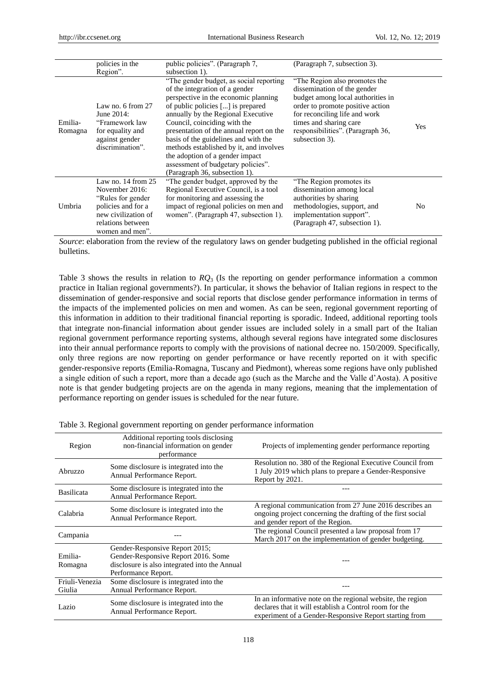|                    | policies in the<br>Region".                                                                                                                         | public policies". (Paragraph 7,<br>subsection 1).                                                                                                                                                                                                                                                                                                                                                                                                                     | (Paragraph 7, subsection 3).                                                                                                                                                                                                                            |     |
|--------------------|-----------------------------------------------------------------------------------------------------------------------------------------------------|-----------------------------------------------------------------------------------------------------------------------------------------------------------------------------------------------------------------------------------------------------------------------------------------------------------------------------------------------------------------------------------------------------------------------------------------------------------------------|---------------------------------------------------------------------------------------------------------------------------------------------------------------------------------------------------------------------------------------------------------|-----|
| Emilia-<br>Romagna | Law no. 6 from $27$<br>June $2014$ :<br>"Framework law<br>for equality and<br>against gender<br>discrimination".                                    | "The gender budget, as social reporting<br>of the integration of a gender<br>perspective in the economic planning<br>of public policies [] is prepared<br>annually by the Regional Executive<br>Council, coinciding with the<br>presentation of the annual report on the<br>basis of the guidelines and with the<br>methods established by it, and involves<br>the adoption of a gender impact<br>assessment of budgetary policies".<br>(Paragraph 36, subsection 1). | "The Region also promotes the<br>dissemination of the gender<br>budget among local authorities in<br>order to promote positive action<br>for reconciling life and work<br>times and sharing care<br>responsibilities". (Paragraph 36,<br>subsection 3). | Yes |
| Umbria             | Law no. $14$ from $25$<br>November 2016:<br>"Rules for gender"<br>policies and for a<br>new civilization of<br>relations between<br>women and men". | "The gender budget, approved by the<br>Regional Executive Council, is a tool<br>for monitoring and assessing the<br>impact of regional policies on men and<br>women". (Paragraph 47, subsection 1).                                                                                                                                                                                                                                                                   | "The Region promotes its<br>dissemination among local<br>authorities by sharing<br>methodologies, support, and<br>implementation support".<br>(Paragraph 47, subsection 1).                                                                             | No  |

*Source*: elaboration from the review of the regulatory laws on gender budgeting published in the official regional bulletins.

Table 3 shows the results in relation to *RQ*<sup>3</sup> (Is the reporting on gender performance information a common practice in Italian regional governments?). In particular, it shows the behavior of Italian regions in respect to the dissemination of gender-responsive and social reports that disclose gender performance information in terms of the impacts of the implemented policies on men and women. As can be seen, regional government reporting of this information in addition to their traditional financial reporting is sporadic. Indeed, additional reporting tools that integrate non-financial information about gender issues are included solely in a small part of the Italian regional government performance reporting systems, although several regions have integrated some disclosures into their annual performance reports to comply with the provisions of national decree no. 150/2009. Specifically, only three regions are now reporting on gender performance or have recently reported on it with specific gender-responsive reports (Emilia-Romagna, Tuscany and Piedmont), whereas some regions have only published a single edition of such a report, more than a decade ago (such as the Marche and the Valle d'Aosta). A positive note is that gender budgeting projects are on the agenda in many regions, meaning that the implementation of performance reporting on gender issues is scheduled for the near future.

| Region                   | Additional reporting tools disclosing<br>non-financial information on gender<br>performance                                                   | Projects of implementing gender performance reporting                                                                                                                          |
|--------------------------|-----------------------------------------------------------------------------------------------------------------------------------------------|--------------------------------------------------------------------------------------------------------------------------------------------------------------------------------|
| Abruzzo                  | Some disclosure is integrated into the<br>Annual Performance Report.                                                                          | Resolution no. 380 of the Regional Executive Council from<br>1 July 2019 which plans to prepare a Gender-Responsive<br>Report by 2021.                                         |
| <b>Basilicata</b>        | Some disclosure is integrated into the<br>Annual Performance Report.                                                                          |                                                                                                                                                                                |
| Calabria                 | Some disclosure is integrated into the<br>Annual Performance Report.                                                                          | A regional communication from 27 June 2016 describes an<br>ongoing project concerning the drafting of the first social<br>and gender report of the Region.                     |
| Campania                 |                                                                                                                                               | The regional Council presented a law proposal from 17<br>March 2017 on the implementation of gender budgeting.                                                                 |
| Emilia-<br>Romagna       | Gender-Responsive Report 2015;<br>Gender-Responsive Report 2016. Some<br>disclosure is also integrated into the Annual<br>Performance Report. |                                                                                                                                                                                |
| Friuli-Venezia<br>Giulia | Some disclosure is integrated into the<br>Annual Performance Report.                                                                          |                                                                                                                                                                                |
| Lazio                    | Some disclosure is integrated into the<br>Annual Performance Report.                                                                          | In an informative note on the regional website, the region<br>declares that it will establish a Control room for the<br>experiment of a Gender-Responsive Report starting from |

Table 3. Regional government reporting on gender performance information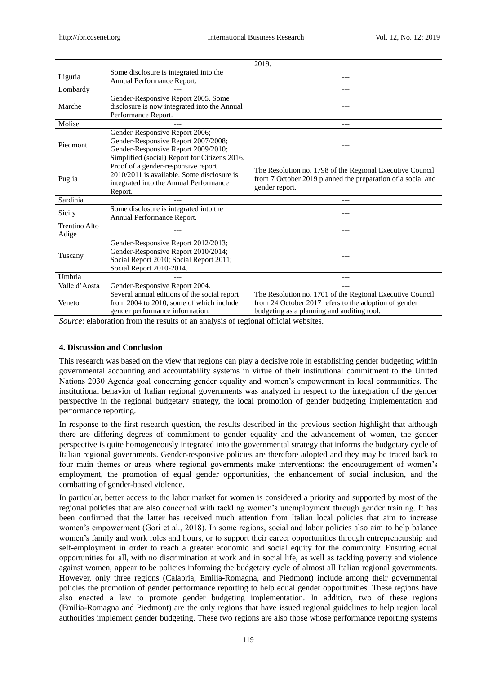|                               |                                                                                                                                                               | 2019.                                                                                                                                                            |
|-------------------------------|---------------------------------------------------------------------------------------------------------------------------------------------------------------|------------------------------------------------------------------------------------------------------------------------------------------------------------------|
| Liguria                       | Some disclosure is integrated into the<br>Annual Performance Report.                                                                                          |                                                                                                                                                                  |
| Lombardy                      |                                                                                                                                                               |                                                                                                                                                                  |
| Marche                        | Gender-Responsive Report 2005. Some<br>disclosure is now integrated into the Annual<br>Performance Report.                                                    |                                                                                                                                                                  |
| Molise                        |                                                                                                                                                               | $---$                                                                                                                                                            |
| Piedmont                      | Gender-Responsive Report 2006;<br>Gender-Responsive Report 2007/2008;<br>Gender-Responsive Report 2009/2010;<br>Simplified (social) Report for Citizens 2016. |                                                                                                                                                                  |
| Puglia                        | Proof of a gender-responsive report<br>2010/2011 is available. Some disclosure is<br>integrated into the Annual Performance<br>Report.                        | The Resolution no. 1798 of the Regional Executive Council<br>from 7 October 2019 planned the preparation of a social and<br>gender report.                       |
| Sardinia                      |                                                                                                                                                               |                                                                                                                                                                  |
| Sicily                        | Some disclosure is integrated into the<br>Annual Performance Report.                                                                                          |                                                                                                                                                                  |
| <b>Trentino Alto</b><br>Adige |                                                                                                                                                               |                                                                                                                                                                  |
| Tuscany                       | Gender-Responsive Report 2012/2013;<br>Gender-Responsive Report 2010/2014;<br>Social Report 2010; Social Report 2011;<br>Social Report 2010-2014.             |                                                                                                                                                                  |
| Umbria                        |                                                                                                                                                               |                                                                                                                                                                  |
| Valle d'Aosta                 | Gender-Responsive Report 2004.                                                                                                                                | ---                                                                                                                                                              |
| Veneto                        | Several annual editions of the social report<br>from 2004 to 2010, some of which include<br>gender performance information.                                   | The Resolution no. 1701 of the Regional Executive Council<br>from 24 October 2017 refers to the adoption of gender<br>budgeting as a planning and auditing tool. |

*Source*: elaboration from the results of an analysis of regional official websites.

#### **4. Discussion and Conclusion**

This research was based on the view that regions can play a decisive role in establishing gender budgeting within governmental accounting and accountability systems in virtue of their institutional commitment to the United Nations 2030 Agenda goal concerning gender equality and women's empowerment in local communities. The institutional behavior of Italian regional governments was analyzed in respect to the integration of the gender perspective in the regional budgetary strategy, the local promotion of gender budgeting implementation and performance reporting.

In response to the first research question, the results described in the previous section highlight that although there are differing degrees of commitment to gender equality and the advancement of women, the gender perspective is quite homogeneously integrated into the governmental strategy that informs the budgetary cycle of Italian regional governments. Gender-responsive policies are therefore adopted and they may be traced back to four main themes or areas where regional governments make interventions: the encouragement of women's employment, the promotion of equal gender opportunities, the enhancement of social inclusion, and the combatting of gender-based violence.

In particular, better access to the labor market for women is considered a priority and supported by most of the regional policies that are also concerned with tackling women's unemployment through gender training. It has been confirmed that the latter has received much attention from Italian local policies that aim to increase women's empowerment (Gori et al., 2018). In some regions, social and labor policies also aim to help balance women's family and work roles and hours, or to support their career opportunities through entrepreneurship and self-employment in order to reach a greater economic and social equity for the community. Ensuring equal opportunities for all, with no discrimination at work and in social life, as well as tackling poverty and violence against women, appear to be policies informing the budgetary cycle of almost all Italian regional governments. However, only three regions (Calabria, Emilia-Romagna, and Piedmont) include among their governmental policies the promotion of gender performance reporting to help equal gender opportunities. These regions have also enacted a law to promote gender budgeting implementation. In addition, two of these regions (Emilia-Romagna and Piedmont) are the only regions that have issued regional guidelines to help region local authorities implement gender budgeting. These two regions are also those whose performance reporting systems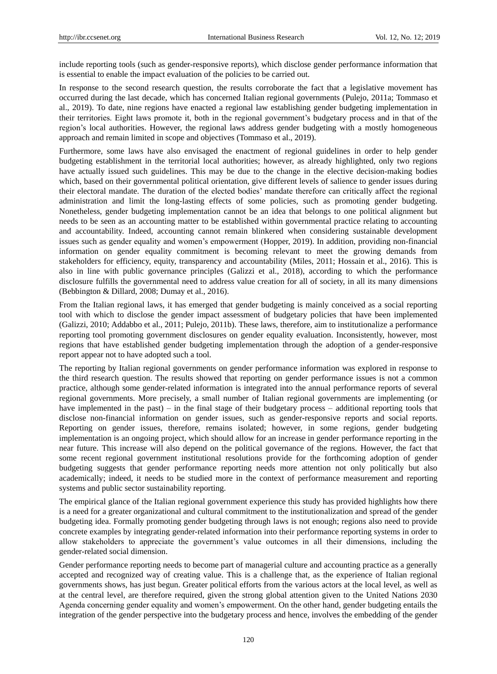include reporting tools (such as gender-responsive reports), which disclose gender performance information that is essential to enable the impact evaluation of the policies to be carried out.

In response to the second research question, the results corroborate the fact that a legislative movement has occurred during the last decade, which has concerned Italian regional governments (Pulejo, 2011a; Tommaso et al., 2019). To date, nine regions have enacted a regional law establishing gender budgeting implementation in their territories. Eight laws promote it, both in the regional government's budgetary process and in that of the region's local authorities. However, the regional laws address gender budgeting with a mostly homogeneous approach and remain limited in scope and objectives (Tommaso et al., 2019).

Furthermore, some laws have also envisaged the enactment of regional guidelines in order to help gender budgeting establishment in the territorial local authorities; however, as already highlighted, only two regions have actually issued such guidelines. This may be due to the change in the elective decision-making bodies which, based on their governmental political orientation, give different levels of salience to gender issues during their electoral mandate. The duration of the elected bodies' mandate therefore can critically affect the regional administration and limit the long-lasting effects of some policies, such as promoting gender budgeting. Nonetheless, gender budgeting implementation cannot be an idea that belongs to one political alignment but needs to be seen as an accounting matter to be established within governmental practice relating to accounting and accountability. Indeed, accounting cannot remain blinkered when considering sustainable development issues such as gender equality and women's empowerment (Hopper, 2019). In addition, providing non-financial information on gender equality commitment is becoming relevant to meet the growing demands from stakeholders for efficiency, equity, transparency and accountability (Miles, 2011; Hossain et al., 2016). This is also in line with public governance principles (Galizzi et al., 2018), according to which the performance disclosure fulfills the governmental need to address value creation for all of society, in all its many dimensions (Bebbington & Dillard, 2008; Dumay et al., 2016).

From the Italian regional laws, it has emerged that gender budgeting is mainly conceived as a social reporting tool with which to disclose the gender impact assessment of budgetary policies that have been implemented (Galizzi, 2010; Addabbo et al., 2011; Pulejo, 2011b). These laws, therefore, aim to institutionalize a performance reporting tool promoting government disclosures on gender equality evaluation. Inconsistently, however, most regions that have established gender budgeting implementation through the adoption of a gender-responsive report appear not to have adopted such a tool.

The reporting by Italian regional governments on gender performance information was explored in response to the third research question. The results showed that reporting on gender performance issues is not a common practice, although some gender-related information is integrated into the annual performance reports of several regional governments. More precisely, a small number of Italian regional governments are implementing (or have implemented in the past) – in the final stage of their budgetary process – additional reporting tools that disclose non-financial information on gender issues, such as gender-responsive reports and social reports. Reporting on gender issues, therefore, remains isolated; however, in some regions, gender budgeting implementation is an ongoing project, which should allow for an increase in gender performance reporting in the near future. This increase will also depend on the political governance of the regions. However, the fact that some recent regional government institutional resolutions provide for the forthcoming adoption of gender budgeting suggests that gender performance reporting needs more attention not only politically but also academically; indeed, it needs to be studied more in the context of performance measurement and reporting systems and public sector sustainability reporting.

The empirical glance of the Italian regional government experience this study has provided highlights how there is a need for a greater organizational and cultural commitment to the institutionalization and spread of the gender budgeting idea. Formally promoting gender budgeting through laws is not enough; regions also need to provide concrete examples by integrating gender-related information into their performance reporting systems in order to allow stakeholders to appreciate the government's value outcomes in all their dimensions, including the gender-related social dimension.

Gender performance reporting needs to become part of managerial culture and accounting practice as a generally accepted and recognized way of creating value. This is a challenge that, as the experience of Italian regional governments shows, has just begun. Greater political efforts from the various actors at the local level, as well as at the central level, are therefore required, given the strong global attention given to the United Nations 2030 Agenda concerning gender equality and women's empowerment. On the other hand, gender budgeting entails the integration of the gender perspective into the budgetary process and hence, involves the embedding of the gender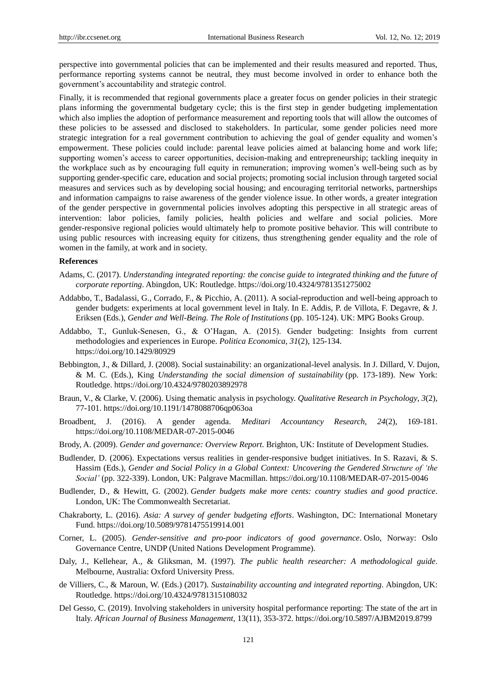perspective into governmental policies that can be implemented and their results measured and reported. Thus, performance reporting systems cannot be neutral, they must become involved in order to enhance both the government's accountability and strategic control.

Finally, it is recommended that regional governments place a greater focus on gender policies in their strategic plans informing the governmental budgetary cycle; this is the first step in gender budgeting implementation which also implies the adoption of performance measurement and reporting tools that will allow the outcomes of these policies to be assessed and disclosed to stakeholders. In particular, some gender policies need more strategic integration for a real government contribution to achieving the goal of gender equality and women's empowerment. These policies could include: parental leave policies aimed at balancing home and work life; supporting women's access to career opportunities, decision-making and entrepreneurship; tackling inequity in the workplace such as by encouraging full equity in remuneration; improving women's well-being such as by supporting gender-specific care, education and social projects; promoting social inclusion through targeted social measures and services such as by developing social housing; and encouraging territorial networks, partnerships and information campaigns to raise awareness of the gender violence issue. In other words, a greater integration of the gender perspective in governmental policies involves adopting this perspective in all strategic areas of intervention: labor policies, family policies, health policies and welfare and social policies. More gender-responsive regional policies would ultimately help to promote positive behavior. This will contribute to using public resources with increasing equity for citizens, thus strengthening gender equality and the role of women in the family, at work and in society.

#### **References**

- Adams, C. (2017). *Understanding integrated reporting: the concise guide to integrated thinking and the future of corporate reporting*. Abingdon, UK: Routledge. https://doi.org/10.4324/9781351275002
- Addabbo, T., Badalassi, G., Corrado, F., & Picchio, A. (2011). A social-reproduction and well-being approach to gender budgets: experiments at local government level in Italy. In E. Addis, P. de Villota, F. Degavre, & J. Eriksen (Eds.), *Gender and Well-Being. The Role of Institutions* (pp. 105-124). UK: MPG Books Group.
- Addabbo, T., Gunluk-Senesen, G., & O'Hagan, A. (2015). Gender budgeting: Insights from current methodologies and experiences in Europe. *Politica Economica*, *31*(2), 125-134. https://doi.org/10.1429/80929
- Bebbington, J., & Dillard, J. (2008). Social sustainability: an organizational-level analysis. In J. Dillard, V. Dujon, & M. C. (Eds.), King *Understanding the social dimension of sustainability* (pp. 173-189). New York: Routledge.<https://doi.org/10.4324/9780203892978>
- Braun, V., & Clarke, V. (2006). Using thematic analysis in psychology. *Qualitative Research in Psychology*, *3*(2), 77-101. https://doi.org/10.1191/1478088706qp063oa
- Broadbent, J. (2016). A gender agenda. *Meditari Accountancy Research*, *24*(2), 169-181. https://doi.org/10.1108/MEDAR-07-2015-0046
- Brody, A. (2009). *Gender and governance: Overview Report*. Brighton, UK: Institute of Development Studies.
- Budlender, D. (2006). Expectations versus realities in gender-responsive budget initiatives. In S. Razavi, & S. Hassim (Eds.), *Gender and Social Policy in a Global Context: Uncovering the Gendered Structure of 'the Social'* (pp. 322-339). London, UK: Palgrave Macmillan. https://doi.org/10.1108/MEDAR-07-2015-0046
- Budlender, D., & Hewitt, G. (2002). *Gender budgets make more cents: country studies and good practice*. London, UK: The Commonwealth Secretariat.
- Chakraborty, L. (2016). *Asia: A survey of gender budgeting efforts*. Washington, DC: International Monetary Fund. https://doi.org/10.5089/9781475519914.001
- Corner, L. (2005). *Gender-sensitive and pro-poor indicators of good governance*. Oslo, Norway: Oslo Governance Centre, UNDP (United Nations Development Programme).
- Daly, J., Kellehear, A., & Gliksman, M. (1997). *The public health researcher: A methodological guide*. Melbourne, Australia: Oxford University Press.
- de Villiers, C., & Maroun, W. (Eds.) (2017). *Sustainability accounting and integrated reporting*. Abingdon, UK: Routledge. https://doi.org/10.4324/9781315108032
- Del Gesso, C. (2019). Involving stakeholders in university hospital performance reporting: The state of the art in Italy. *African Journal of Business Management*, 13(11), 353-372.<https://doi.org/10.5897/AJBM2019.8799>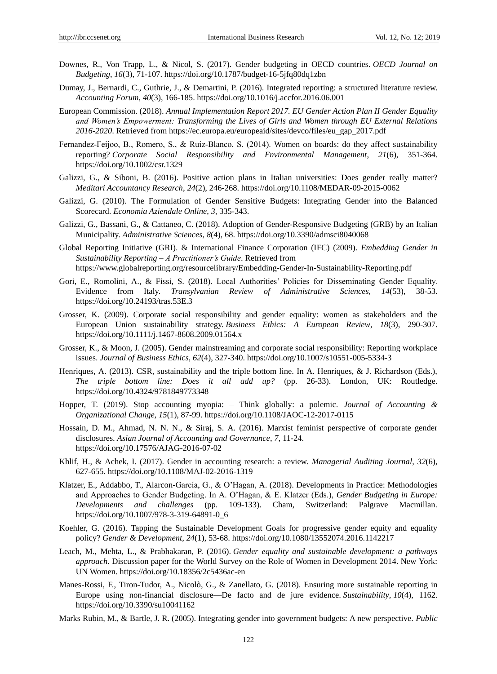- Downes, R., Von Trapp, L., & Nicol, S. (2017). Gender budgeting in OECD countries. *OECD Journal on Budgeting*, *16*(3), 71-107. https://doi.org/10.1787/budget-16-5jfq80dq1zbn
- Dumay, J., Bernardi, C., Guthrie, J., & Demartini, P. (2016). Integrated reporting: a structured literature review. *Accounting Forum*, *40*(3), 166-185. https://doi.org/10.1016/j.accfor.2016.06.001
- European Commission. (2018). *Annual Implementation Report 2017. EU Gender Action Plan II Gender Equality and Women's Empowerment: Transforming the Lives of Girls and Women through EU External Relations 2016-2020*. Retrieved from https://ec.europa.eu/europeaid/sites/devco/files/eu\_gap\_2017.pdf
- Fernandez-Feijoo, B., Romero, S., & Ruiz-Blanco, S. (2014). Women on boards: do they affect sustainability reporting? *Corporate Social Responsibility and Environmental Management*, *21*(6), 351-364. <https://doi.org/10.1002/csr.1329>
- Galizzi, G., & Siboni, B. (2016). Positive action plans in Italian universities: Does gender really matter? *Meditari Accountancy Research*, *24*(2), 246-268. https://doi.org/10.1108/MEDAR-09-2015-0062
- Galizzi, G. (2010). The Formulation of Gender Sensitive Budgets: Integrating Gender into the Balanced Scorecard. *Economia Aziendale Online*, *3,* 335-343.
- Galizzi, G., Bassani, G., & Cattaneo, C. (2018). Adoption of Gender-Responsive Budgeting (GRB) by an Italian Municipality. *Administrative Sciences*, *8*(4), 68. https://doi.org/10.3390/admsci8040068
- Global Reporting Initiative (GRI). & International Finance Corporation (IFC) (2009). *Embedding Gender in Sustainability Reporting – A Practitioner's Guide*. Retrieved from <https://www.globalreporting.org/resourcelibrary/Embedding-Gender-In-Sustainability-Reporting.pdf>
- Gori, E., Romolini, A., & Fissi, S. (2018). Local Authorities' Policies for Disseminating Gender Equality. Evidence from Italy. *Transylvanian Review of Administrative Sciences*, *14*(53), 38-53. https://doi.org/10.24193/tras.53E.3
- Grosser, K. (2009). Corporate social responsibility and gender equality: women as stakeholders and the European Union sustainability strategy. *Business Ethics: A European Review*, *18*(3), 290-307. <https://doi.org/10.1111/j.1467-8608.2009.01564.x>
- Grosser, K., & Moon, J. (2005). Gender mainstreaming and corporate social responsibility: Reporting workplace issues. *Journal of Business Ethics*, *62*(4), 327-340. https://doi.org/10.1007/s10551-005-5334-3
- Henriques, A. (2013). CSR, sustainability and the triple bottom line. In A. Henriques, & J. Richardson (Eds.), *The triple bottom line: Does it all add up?* (pp. 26-33). London, UK: Routledge. <https://doi.org/10.4324/9781849773348>
- Hopper, T. (2019). Stop accounting myopia: Think globally: a polemic. *Journal of Accounting & Organizational Change*, *15*(1), 87-99.<https://doi.org/10.1108/JAOC-12-2017-0115>
- Hossain, D. M., Ahmad, N. N. N., & Siraj, S. A. (2016). Marxist feminist perspective of corporate gender disclosures. *Asian Journal of Accounting and Governance*, *7*, 11-24. https://doi.org/10.17576/AJAG-2016-07-02
- Khlif, H., & Achek, I. (2017). Gender in accounting research: a review. *Managerial Auditing Journal*, *32*(6), 627-655. https://doi.org/10.1108/MAJ-02-2016-1319
- Klatzer, E., Addabbo, T., Alarcon-García, G., & O'Hagan, A. (2018). Developments in Practice: Methodologies and Approaches to Gender Budgeting. In A. O'Hagan, & E. Klatzer (Eds.), *Gender Budgeting in Europe: Developments and challenges* (pp. 109-133). Cham, Switzerland: Palgrave Macmillan. https://doi.org/10.1007/978-3-319-64891-0\_6
- Koehler, G. (2016). Tapping the Sustainable Development Goals for progressive gender equity and equality policy? *Gender & Development*, *24*(1), 53-68. https://doi.org/10.1080/13552074.2016.1142217
- Leach, M., Mehta, L., & Prabhakaran, P. (2016). *Gender equality and sustainable development: a pathways approach*. Discussion paper for the World Survey on the Role of Women in Development 2014. New York: UN Women[. https://doi.org/10.18356/2c5436ac-en](https://doi.org/10.18356/2c5436ac-en)
- Manes-Rossi, F., Tiron-Tudor, A., Nicolò, G., & Zanellato, G. (2018). Ensuring more sustainable reporting in Europe using non-financial disclosure—De facto and de jure evidence. *Sustainability*, *10*(4), 1162. https://doi.org/10.3390/su10041162
- Marks Rubin, M., & Bartle, J. R. (2005). Integrating gender into government budgets: A new perspective. *Public*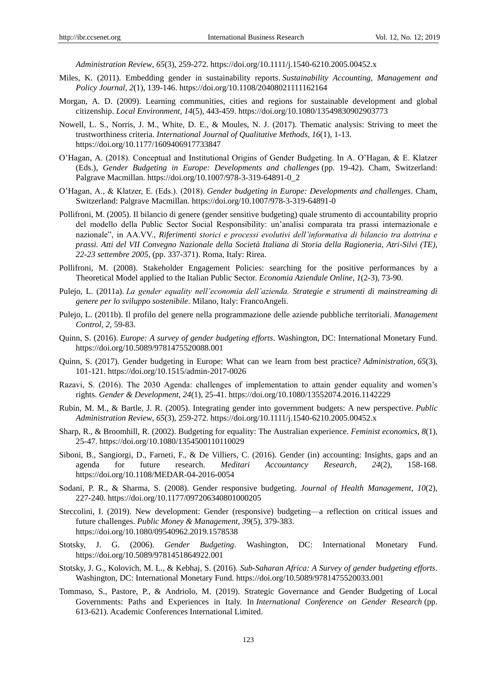*Administration Review*, *65*(3), 259-272. https://doi.org/10.1111/j.1540-6210.2005.00452.x

- Miles, K. (2011). Embedding gender in sustainability reports. *Sustainability Accounting, Management and Policy Journal*, *2*(1), 139-146. https://doi.org/10.1108/20408021111162164
- Morgan, A. D. (2009). Learning communities, cities and regions for sustainable development and global citizenship. *Local Environment*, *14*(5), 443-459. https://doi.org/10.1080/13549830902903773
- Nowell, L. S., Norris, J. M., White, D. E., & Moules, N. J. (2017). Thematic analysis: Striving to meet the trustworthiness criteria. *International Journal of Qualitative Methods*, *16*(1), 1-13. https://doi.org/10.1177/1609406917733847
- O'Hagan, A. (2018). Conceptual and Institutional Origins of Gender Budgeting. In A. O'Hagan, & E. Klatzer (Eds.), *Gender Budgeting in Europe: Developments and challenges* (pp. 19-42). Cham, Switzerland: Palgrave Macmillan. https://doi.org/10.1007/978-3-319-64891-0\_2
- O'Hagan, A., & Klatzer, E. (Eds.). (2018). *Gender budgeting in Europe: Developments and challenges*. Cham, Switzerland: Palgrave Macmillan. https://doi.org/10.1007/978-3-319-64891-0
- Pollifroni, M. (2005). Il bilancio di genere (gender sensitive budgeting) quale strumento di accountability proprio del modello della Public Sector Social Responsibility: un'analisi comparata tra prassi internazionale e nazionale", in AA.VV., *Riferimenti storici e processi evolutivi dell'informativa di bilancio tra dottrina e prassi. Atti del VII Convegno Nazionale della Società Italiana di Storia della Ragioneria, Atri-Silvi (TE), 22-23 settembre 2005*, (pp. 337-371). Roma, Italy: Rirea.
- Pollifroni, M. (2008). Stakeholder Engagement Policies: searching for the positive performances by a Theoretical Model applied to the Italian Public Sector. *Economia Aziendale Online*, *1*(2-3), 73-90.
- Pulejo, L. (2011a). *La gender equality nell'economia dell'azienda. Strategie e strumenti di mainstreaming di genere per lo sviluppo sostenibile*. Milano, Italy: FrancoAngeli.
- Pulejo, L. (2011b). Il profilo del genere nella programmazione delle aziende pubbliche territoriali. *Management Control*, *2,* 59-83.
- Quinn, S. (2016). *Europe: A survey of gender budgeting efforts*. Washington, DC: International Monetary Fund. https://doi.org/10.5089/9781475520088.001
- Quinn, S. (2017). Gender budgeting in Europe: What can we learn from best practice? *Administration*, *65*(3), 101-121. https://doi.org/10.1515/admin-2017-0026
- Razavi, S. (2016). The 2030 Agenda: challenges of implementation to attain gender equality and women's rights. *Gender & Development*, *24*(1), 25-41. https://doi.org/10.1080/13552074.2016.1142229
- Rubin, M. M., & Bartle, J. R. (2005). Integrating gender into government budgets: A new perspective. *Public Administration Review*, *65*(3), 259-272.<https://doi.org/10.1111/j.1540-6210.2005.00452.x>
- Sharp, R., & Broomhill, R. (2002). Budgeting for equality: The Australian experience. *Feminist economics*, *8*(1), 25-47. https://doi.org/10.1080/1354500110110029
- Siboni, B., Sangiorgi, D., Farneti, F., & De Villiers, C. (2016). Gender (in) accounting: Insights, gaps and an agenda for future research. *Meditari Accountancy Research*, *24*(2), 158-168. https://doi.org/10.1108/MEDAR-04-2016-0054
- Sodani, P. R., & Sharma, S. (2008). Gender responsive budgeting. *Journal of Health Management*, *10*(2), 227-240. https://doi.org/10.1177/097206340801000205
- Steccolini, I. (2019). New development: Gender (responsive) budgeting—a reflection on critical issues and future challenges. *Public Money & Management*, *39*(5), 379-383. <https://doi.org/10.1080/09540962.2019.1578538>
- Stotsky, J. G. (2006). *Gender Budgeting*. Washington, DC: International Monetary Fund. https://doi.org/10.5089/9781451864922.001
- Stotsky, J. G., Kolovich, M. L., & Kebhaj, S. (2016). *Sub-Saharan Africa: A Survey of gender budgeting efforts*. Washington, DC: International Monetary Fund. https://doi.org/10.5089/9781475520033.001
- Tommaso, S., Pastore, P., & Andriolo, M. (2019). Strategic Governance and Gender Budgeting of Local Governments: Paths and Experiences in Italy. In *International Conference on Gender Research* (pp. 613-621). Academic Conferences International Limited.